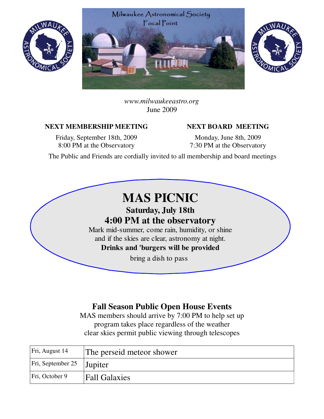





*www.milwaukeeastro.org* June 2009

#### NEXT MEMBERSHIP MEETING NEXT BOARD MEETING

Friday, September 18th, 2009 8:00 PM at the Observatory

Monday, June 8th, 2009 7:30 PM at the Observatory

The Public and Friends are cordially invited to all membership and board meetings

# **MAS PICNIC**

**Saturday, July 18th 4:00 PM at the observatory** Mark mid-summer, come rain, humidity, or shine

and if the skies are clear, astronomy at night. **Drinks and 'burgers will be provided**

bring a dish to pass

# **Fall Season Public Open House Events**

MAS members should arrive by 7:00 PM to help set up program takes place regardless of the weather clear skies permit public viewing through telescopes

| Fri, August 14                | The perseid meteor shower |
|-------------------------------|---------------------------|
| $ Fri, September 25 $ Jupiter |                           |
| $\vert$ Fri, October 9        | <b>Fall Galaxies</b>      |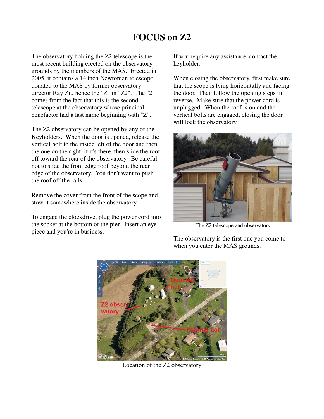# **FOCUS on Z2**

The observatory holding the Z2 telescope is the most recent building erected on the observatory grounds by the members of the MAS. Erected in 2005, it contains a 14 inch Newtonian telescope donated to the MAS by former observatory director Ray Zit, hence the "Z" in "Z2". The "2" comes from the fact that this is the second telescope at the observatory whose principal benefactor had a last name beginning with "Z".

The Z2 observatory can be opened by any of the Keyholders. When the door is opened, release the vertical bolt to the inside left of the door and then the one on the right, if it's there, then slide the roof off toward the rear of the observatory. Be careful not to slide the front edge roof beyond the rear edge of the observatory. You don't want to push the roof off the rails.

Remove the cover from the front of the scope and stow it somewhere inside the observatory.

To engage the clockdrive, plug the power cord into the socket at the bottom of the pier. Insert an eye piece and you're in business.

If you require any assistance, contact the keyholder.

When closing the observatory, first make sure that the scope is lying horizontally and facing the door. Then follow the opening steps in reverse. Make sure that the power cord is unplugged. When the roof is on and the vertical bolts are engaged, closing the door will lock the observatory.



The Z2 telescope and observatory

The observatory is the first one you come to when you enter the MAS grounds.



Location of the Z2 observatory